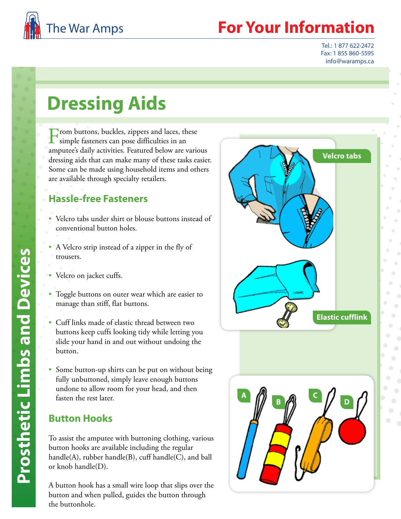

## **Your Information**

Tel.: 1 877 622-2472 Fax: 1 855 860-5595 info@waramps.ca

# **Dressing Aids**

From buttons, buckles, zippers and laces, these simple fasteners can pose difficulties in an amputee's daily activities. Featured below are various dressing aids that can make many of these tasks easier. Some can be made using household items and others are available through specialty retailers.

#### **Hassle-free Fasteners**

- Velcro tabs under shirt or blouse buttons instead of conventional button holes.
- A Velcro strip instead of a zipper in the fly of trousers.
- 
- Velcro on jacket cuffs. Toggle buttons on outer wear which are easier to manage than stiff, flat buttons.
- Cuff links made of elastic thread between two buttons keep cuffs looking tidy while letting you slide your hand in and out without undoing the button.
- Some button-up shirts can be put on without being fully unbuttoned, simply leave enough buttons undone to allow room for your head, and then fasten the rest later.

### **Button Hooks**

To assist the amputee with buttoning clothing, various button hooks are available including the regular handle(A), rubber handle(B), cuff handle(C), and ball or knob handle(D).

A button hook has a small wire loop that slips over the button and when pulled, guides the button through the buttonhole.

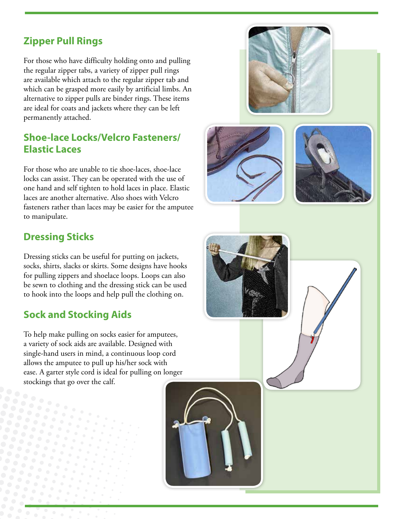## **Zipper Pull Rings**

For those who have difficulty holding onto and pulling the regular zipper tabs, a variety of zipper pull rings are available which attach to the regular zipper tab and which can be grasped more easily by artificial limbs. An alternative to zipper pulls are binder rings. These items are ideal for coats and jackets where they can be left permanently attached.

#### **Shoe-lace Locks/Velcro Fasteners/ Elastic Laces**

For those who are unable to tie shoe-laces, shoe-lace locks can assist. They can be operated with the use of one hand and self tighten to hold laces in place. Elastic laces are another alternative. Also shoes with Velcro fasteners rather than laces may be easier for the amputee to manipulate.



## **Dressing Sticks**

Dressing sticks can be useful for putting on jackets, socks, shirts, slacks or skirts. Some designs have hooks for pulling zippers and shoelace loops. Loops can also be sewn to clothing and the dressing stick can be used to hook into the loops and help pull the clothing on.

## **Sock and Stocking Aids**

To help make pulling on socks easier for amputees, a variety of sock aids are available. Designed with single-hand users in mind, a continuous loop cord allows the amputee to pull up his/her sock with ease. A garter style cord is ideal for pulling on longer stockings that go over the calf.